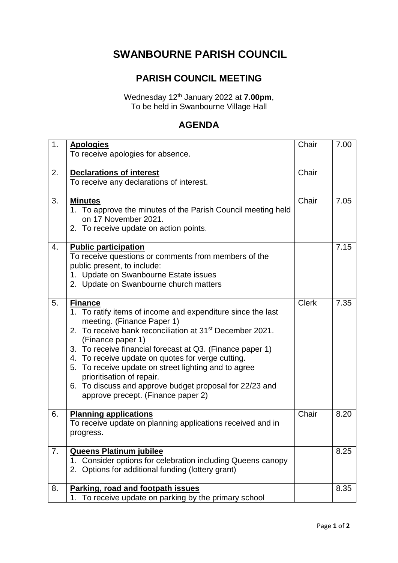## **SWANBOURNE PARISH COUNCIL**

## **PARISH COUNCIL MEETING**

Wednesday 12 th January 2022 at **7.00pm**, To be held in Swanbourne Village Hall

## **AGENDA**

| 1. | <b>Apologies</b>                                                                                                                                                                                                                                                                                                                                                                                                                                                                                                 | Chair        | 7.00 |
|----|------------------------------------------------------------------------------------------------------------------------------------------------------------------------------------------------------------------------------------------------------------------------------------------------------------------------------------------------------------------------------------------------------------------------------------------------------------------------------------------------------------------|--------------|------|
|    | To receive apologies for absence.                                                                                                                                                                                                                                                                                                                                                                                                                                                                                |              |      |
| 2. | <b>Declarations of interest</b><br>To receive any declarations of interest.                                                                                                                                                                                                                                                                                                                                                                                                                                      | Chair        |      |
| 3. | <b>Minutes</b><br>1. To approve the minutes of the Parish Council meeting held<br>on 17 November 2021.<br>2. To receive update on action points.                                                                                                                                                                                                                                                                                                                                                                 | Chair        | 7.05 |
| 4. | <b>Public participation</b><br>To receive questions or comments from members of the<br>public present, to include:<br>1. Update on Swanbourne Estate issues<br>2. Update on Swanbourne church matters                                                                                                                                                                                                                                                                                                            |              | 7.15 |
| 5. | <b>Finance</b><br>1. To ratify items of income and expenditure since the last<br>meeting. (Finance Paper 1)<br>2. To receive bank reconciliation at 31 <sup>st</sup> December 2021.<br>(Finance paper 1)<br>3. To receive financial forecast at Q3. (Finance paper 1)<br>4. To receive update on quotes for verge cutting.<br>5. To receive update on street lighting and to agree<br>prioritisation of repair.<br>6. To discuss and approve budget proposal for 22/23 and<br>approve precept. (Finance paper 2) | <b>Clerk</b> | 7.35 |
| 6. | <b>Planning applications</b><br>To receive update on planning applications received and in<br>progress.                                                                                                                                                                                                                                                                                                                                                                                                          | Chair        | 8.20 |
| 7. | <b>Queens Platinum jubilee</b><br>1. Consider options for celebration including Queens canopy<br>Options for additional funding (lottery grant)<br>2.                                                                                                                                                                                                                                                                                                                                                            |              | 8.25 |
| 8. | Parking, road and footpath issues<br>1. To receive update on parking by the primary school                                                                                                                                                                                                                                                                                                                                                                                                                       |              | 8.35 |